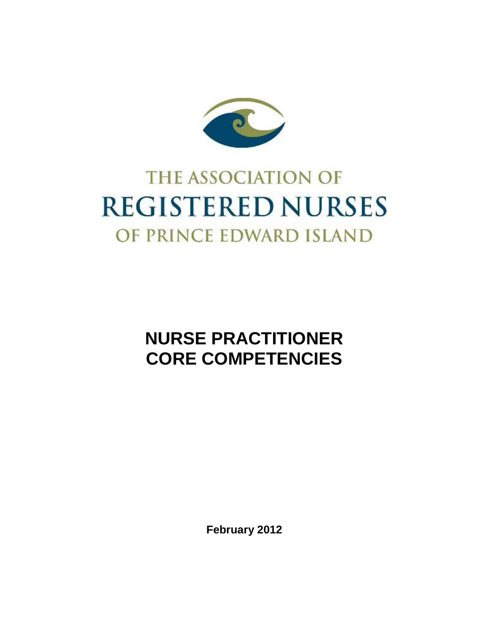

# **THE ASSOCIATION OF REGISTERED NURSES** OF PRINCE EDWARD ISLAND

# **NURSE PRACTITIONER CORE COMPETENCIES**

**February 2012**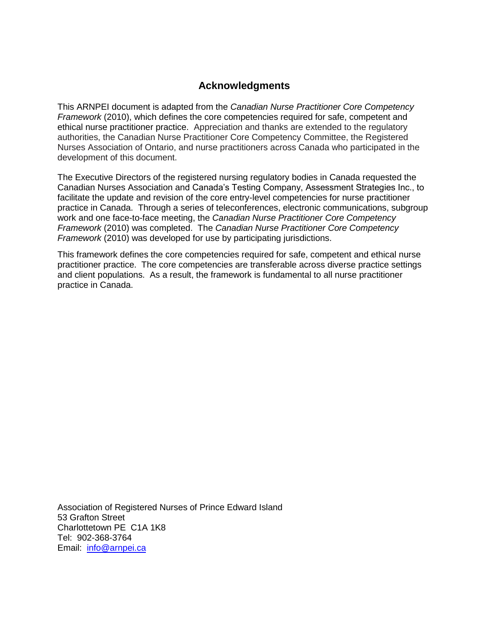#### **Acknowledgments**

This ARNPEI document is adapted from the *Canadian Nurse Practitioner Core Competency Framework* (2010), which defines the core competencies required for safe, competent and ethical nurse practitioner practice. Appreciation and thanks are extended to the regulatory authorities, the Canadian Nurse Practitioner Core Competency Committee, the Registered Nurses Association of Ontario, and nurse practitioners across Canada who participated in the development of this document.

The Executive Directors of the registered nursing regulatory bodies in Canada requested the Canadian Nurses Association and Canada's Testing Company, Assessment Strategies Inc., to facilitate the update and revision of the core entry-level competencies for nurse practitioner practice in Canada. Through a series of teleconferences, electronic communications, subgroup work and one face-to-face meeting, the *Canadian Nurse Practitioner Core Competency Framework* (2010) was completed. The *Canadian Nurse Practitioner Core Competency Framework* (2010) was developed for use by participating jurisdictions.

This framework defines the core competencies required for safe, competent and ethical nurse practitioner practice. The core competencies are transferable across diverse practice settings and client populations. As a result, the framework is fundamental to all nurse practitioner practice in Canada.

Association of Registered Nurses of Prince Edward Island 53 Grafton Street Charlottetown PE C1A 1K8 Tel: 902-368-3764 Email: [info@arnpei.ca](mailto:info@arnpei.ca)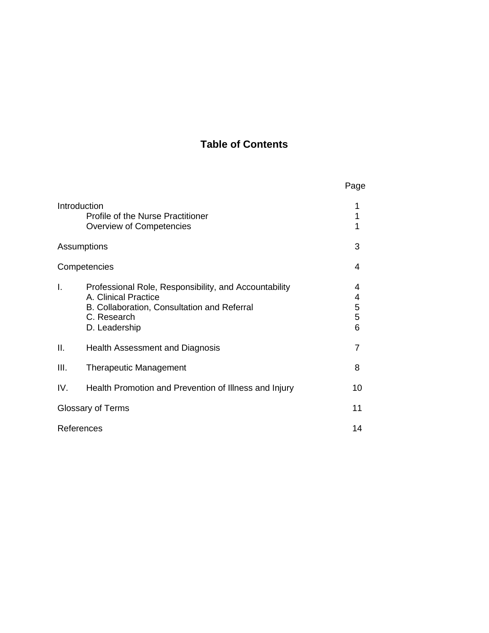# **Table of Contents**

|                          |                                                                                                                                                              | Page                  |
|--------------------------|--------------------------------------------------------------------------------------------------------------------------------------------------------------|-----------------------|
|                          | Introduction<br><b>Profile of the Nurse Practitioner</b><br>Overview of Competencies                                                                         | 1<br>1<br>1           |
| Assumptions              |                                                                                                                                                              | 3                     |
| Competencies             |                                                                                                                                                              | 4                     |
| I.                       | Professional Role, Responsibility, and Accountability<br>A. Clinical Practice<br>B. Collaboration, Consultation and Referral<br>C. Research<br>D. Leadership | 4<br>4<br>5<br>5<br>6 |
| II.                      | Health Assessment and Diagnosis                                                                                                                              | 7                     |
| III.                     | <b>Therapeutic Management</b>                                                                                                                                | 8                     |
| IV.                      | Health Promotion and Prevention of Illness and Injury                                                                                                        | 10                    |
| <b>Glossary of Terms</b> |                                                                                                                                                              | 11                    |
| References               |                                                                                                                                                              | 14                    |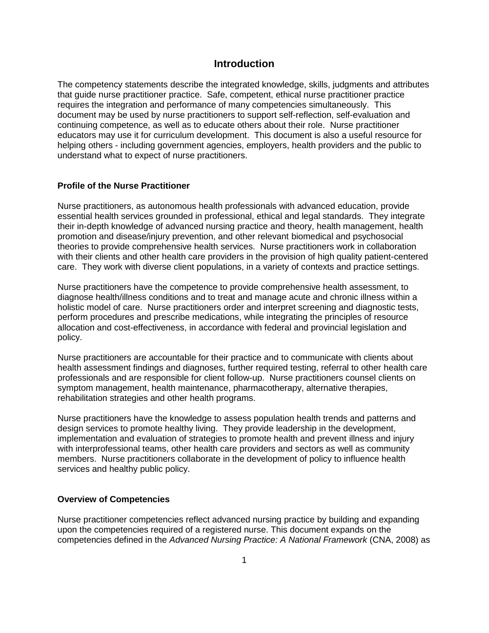#### **Introduction**

The competency statements describe the integrated knowledge, skills, judgments and attributes that guide nurse practitioner practice. Safe, competent, ethical nurse practitioner practice requires the integration and performance of many competencies simultaneously. This document may be used by nurse practitioners to support self-reflection, self-evaluation and continuing competence, as well as to educate others about their role. Nurse practitioner educators may use it for curriculum development. This document is also a useful resource for helping others - including government agencies, employers, health providers and the public to understand what to expect of nurse practitioners.

#### **Profile of the Nurse Practitioner**

Nurse practitioners, as autonomous health professionals with advanced education, provide essential health services grounded in professional, ethical and legal standards. They integrate their in-depth knowledge of advanced nursing practice and theory, health management, health promotion and disease/injury prevention, and other relevant biomedical and psychosocial theories to provide comprehensive health services. Nurse practitioners work in collaboration with their clients and other health care providers in the provision of high quality patient-centered care. They work with diverse client populations, in a variety of contexts and practice settings.

Nurse practitioners have the competence to provide comprehensive health assessment, to diagnose health/illness conditions and to treat and manage acute and chronic illness within a holistic model of care. Nurse practitioners order and interpret screening and diagnostic tests, perform procedures and prescribe medications, while integrating the principles of resource allocation and cost-effectiveness, in accordance with federal and provincial legislation and policy.

Nurse practitioners are accountable for their practice and to communicate with clients about health assessment findings and diagnoses, further required testing, referral to other health care professionals and are responsible for client follow-up. Nurse practitioners counsel clients on symptom management, health maintenance, pharmacotherapy, alternative therapies, rehabilitation strategies and other health programs.

Nurse practitioners have the knowledge to assess population health trends and patterns and design services to promote healthy living. They provide leadership in the development, implementation and evaluation of strategies to promote health and prevent illness and injury with interprofessional teams, other health care providers and sectors as well as community members. Nurse practitioners collaborate in the development of policy to influence health services and healthy public policy.

#### **Overview of Competencies**

Nurse practitioner competencies reflect advanced nursing practice by building and expanding upon the competencies required of a registered nurse. This document expands on the competencies defined in the *Advanced Nursing Practice: A National Framework* (CNA, 2008) as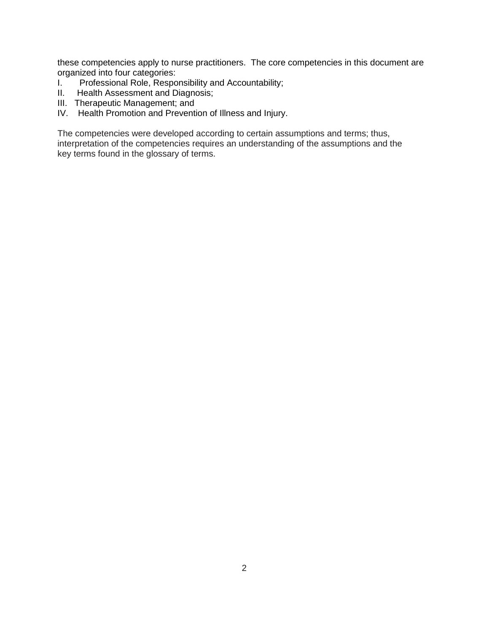these competencies apply to nurse practitioners. The core competencies in this document are organized into four categories:

- I. Professional Role, Responsibility and Accountability;<br>II. Health Assessment and Diagnosis:
- Health Assessment and Diagnosis;
- III. Therapeutic Management; and
- IV. Health Promotion and Prevention of Illness and Injury.

The competencies were developed according to certain assumptions and terms; thus, interpretation of the competencies requires an understanding of the assumptions and the key terms found in the glossary of terms.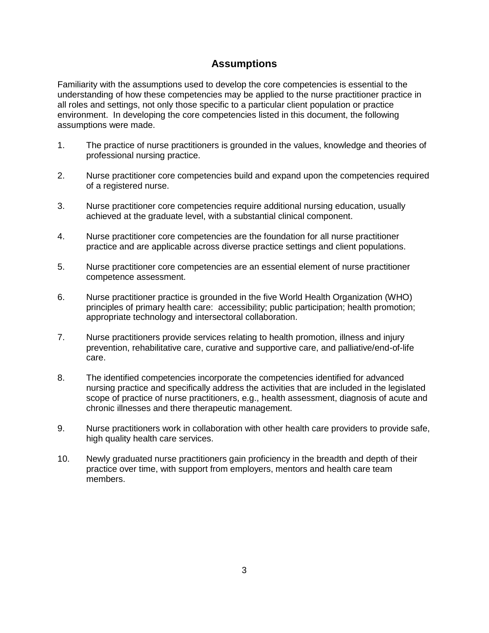#### **Assumptions**

Familiarity with the assumptions used to develop the core competencies is essential to the understanding of how these competencies may be applied to the nurse practitioner practice in all roles and settings, not only those specific to a particular client population or practice environment. In developing the core competencies listed in this document, the following assumptions were made.

- 1. The practice of nurse practitioners is grounded in the values, knowledge and theories of professional nursing practice.
- 2. Nurse practitioner core competencies build and expand upon the competencies required of a registered nurse.
- 3. Nurse practitioner core competencies require additional nursing education, usually achieved at the graduate level, with a substantial clinical component.
- 4. Nurse practitioner core competencies are the foundation for all nurse practitioner practice and are applicable across diverse practice settings and client populations.
- 5. Nurse practitioner core competencies are an essential element of nurse practitioner competence assessment.
- 6. Nurse practitioner practice is grounded in the five World Health Organization (WHO) principles of primary health care: accessibility; public participation; health promotion; appropriate technology and intersectoral collaboration.
- 7. Nurse practitioners provide services relating to health promotion, illness and injury prevention, rehabilitative care, curative and supportive care, and palliative/end-of-life care.
- 8. The identified competencies incorporate the competencies identified for advanced nursing practice and specifically address the activities that are included in the legislated scope of practice of nurse practitioners, e.g., health assessment, diagnosis of acute and chronic illnesses and there therapeutic management.
- 9. Nurse practitioners work in collaboration with other health care providers to provide safe, high quality health care services.
- 10. Newly graduated nurse practitioners gain proficiency in the breadth and depth of their practice over time, with support from employers, mentors and health care team members.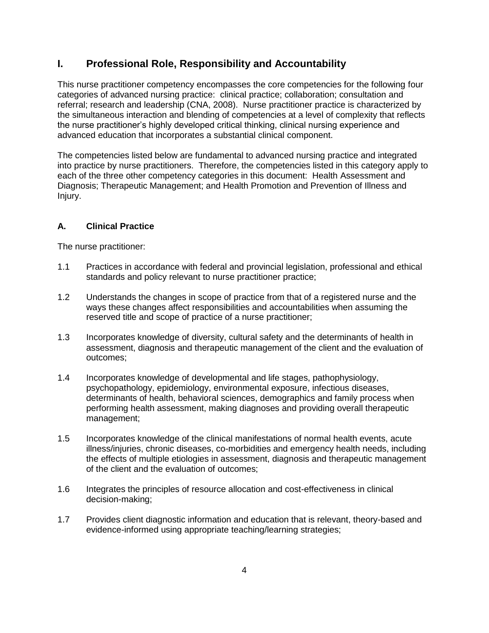## **I. Professional Role, Responsibility and Accountability**

This nurse practitioner competency encompasses the core competencies for the following four categories of advanced nursing practice: clinical practice; collaboration; consultation and referral; research and leadership (CNA, 2008). Nurse practitioner practice is characterized by the simultaneous interaction and blending of competencies at a level of complexity that reflects the nurse practitioner's highly developed critical thinking, clinical nursing experience and advanced education that incorporates a substantial clinical component.

The competencies listed below are fundamental to advanced nursing practice and integrated into practice by nurse practitioners. Therefore, the competencies listed in this category apply to each of the three other competency categories in this document: Health Assessment and Diagnosis; Therapeutic Management; and Health Promotion and Prevention of Illness and Injury.

#### **A. Clinical Practice**

- 1.1 Practices in accordance with federal and provincial legislation, professional and ethical standards and policy relevant to nurse practitioner practice;
- 1.2 Understands the changes in scope of practice from that of a registered nurse and the ways these changes affect responsibilities and accountabilities when assuming the reserved title and scope of practice of a nurse practitioner;
- 1.3 Incorporates knowledge of diversity, cultural safety and the determinants of health in assessment, diagnosis and therapeutic management of the client and the evaluation of outcomes;
- 1.4 Incorporates knowledge of developmental and life stages, pathophysiology, psychopathology, epidemiology, environmental exposure, infectious diseases, determinants of health, behavioral sciences, demographics and family process when performing health assessment, making diagnoses and providing overall therapeutic management;
- 1.5 Incorporates knowledge of the clinical manifestations of normal health events, acute illness/injuries, chronic diseases, co-morbidities and emergency health needs, including the effects of multiple etiologies in assessment, diagnosis and therapeutic management of the client and the evaluation of outcomes;
- 1.6 Integrates the principles of resource allocation and cost-effectiveness in clinical decision-making;
- 1.7 Provides client diagnostic information and education that is relevant, theory-based and evidence-informed using appropriate teaching/learning strategies;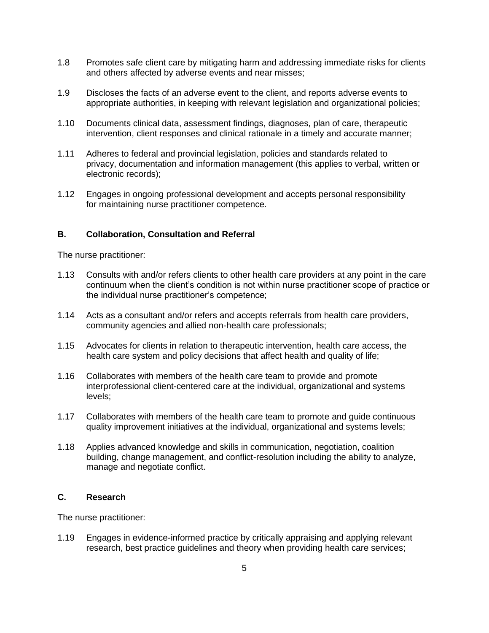- 1.8 Promotes safe client care by mitigating harm and addressing immediate risks for clients and others affected by adverse events and near misses;
- 1.9 Discloses the facts of an adverse event to the client, and reports adverse events to appropriate authorities, in keeping with relevant legislation and organizational policies;
- 1.10 Documents clinical data, assessment findings, diagnoses, plan of care, therapeutic intervention, client responses and clinical rationale in a timely and accurate manner;
- 1.11 Adheres to federal and provincial legislation, policies and standards related to privacy, documentation and information management (this applies to verbal, written or electronic records);
- 1.12 Engages in ongoing professional development and accepts personal responsibility for maintaining nurse practitioner competence.

#### **B. Collaboration, Consultation and Referral**

The nurse practitioner:

- 1.13 Consults with and/or refers clients to other health care providers at any point in the care continuum when the client's condition is not within nurse practitioner scope of practice or the individual nurse practitioner's competence;
- 1.14 Acts as a consultant and/or refers and accepts referrals from health care providers, community agencies and allied non-health care professionals;
- 1.15 Advocates for clients in relation to therapeutic intervention, health care access, the health care system and policy decisions that affect health and quality of life;
- 1.16 Collaborates with members of the health care team to provide and promote interprofessional client-centered care at the individual, organizational and systems levels;
- 1.17 Collaborates with members of the health care team to promote and guide continuous quality improvement initiatives at the individual, organizational and systems levels;
- 1.18 Applies advanced knowledge and skills in communication, negotiation, coalition building, change management, and conflict-resolution including the ability to analyze, manage and negotiate conflict.

#### **C. Research**

The nurse practitioner:

1.19 Engages in evidence-informed practice by critically appraising and applying relevant research, best practice guidelines and theory when providing health care services;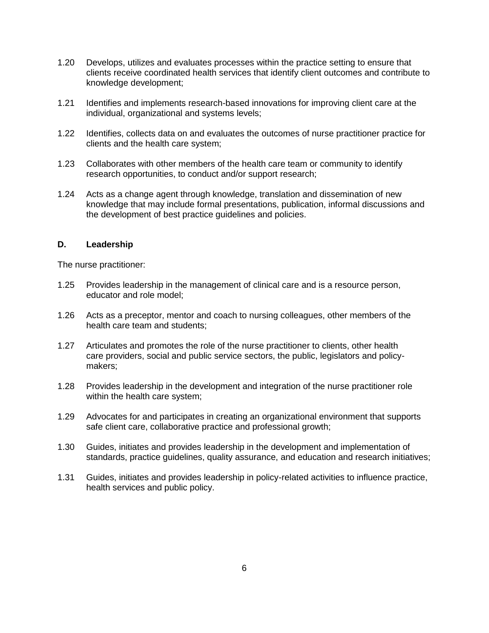- 1.20 Develops, utilizes and evaluates processes within the practice setting to ensure that clients receive coordinated health services that identify client outcomes and contribute to knowledge development;
- 1.21 Identifies and implements research-based innovations for improving client care at the individual, organizational and systems levels;
- 1.22 Identifies, collects data on and evaluates the outcomes of nurse practitioner practice for clients and the health care system;
- 1.23 Collaborates with other members of the health care team or community to identify research opportunities, to conduct and/or support research;
- 1.24 Acts as a change agent through knowledge, translation and dissemination of new knowledge that may include formal presentations, publication, informal discussions and the development of best practice guidelines and policies.

#### **D. Leadership**

- 1.25 Provides leadership in the management of clinical care and is a resource person, educator and role model;
- 1.26 Acts as a preceptor, mentor and coach to nursing colleagues, other members of the health care team and students;
- 1.27 Articulates and promotes the role of the nurse practitioner to clients, other health care providers, social and public service sectors, the public, legislators and policymakers;
- 1.28 Provides leadership in the development and integration of the nurse practitioner role within the health care system;
- 1.29 Advocates for and participates in creating an organizational environment that supports safe client care, collaborative practice and professional growth;
- 1.30 Guides, initiates and provides leadership in the development and implementation of standards, practice guidelines, quality assurance, and education and research initiatives;
- 1.31 Guides, initiates and provides leadership in policy-related activities to influence practice, health services and public policy.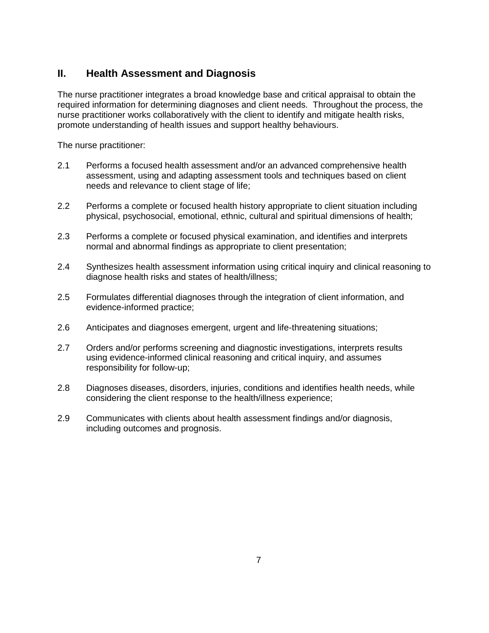## **II. Health Assessment and Diagnosis**

The nurse practitioner integrates a broad knowledge base and critical appraisal to obtain the required information for determining diagnoses and client needs. Throughout the process, the nurse practitioner works collaboratively with the client to identify and mitigate health risks, promote understanding of health issues and support healthy behaviours.

- 2.1 Performs a focused health assessment and/or an advanced comprehensive health assessment, using and adapting assessment tools and techniques based on client needs and relevance to client stage of life;
- 2.2 Performs a complete or focused health history appropriate to client situation including physical, psychosocial, emotional, ethnic, cultural and spiritual dimensions of health;
- 2.3 Performs a complete or focused physical examination, and identifies and interprets normal and abnormal findings as appropriate to client presentation;
- 2.4 Synthesizes health assessment information using critical inquiry and clinical reasoning to diagnose health risks and states of health/illness;
- 2.5 Formulates differential diagnoses through the integration of client information, and evidence-informed practice;
- 2.6 Anticipates and diagnoses emergent, urgent and life-threatening situations;
- 2.7 Orders and/or performs screening and diagnostic investigations, interprets results using evidence-informed clinical reasoning and critical inquiry, and assumes responsibility for follow-up;
- 2.8 Diagnoses diseases, disorders, injuries, conditions and identifies health needs, while considering the client response to the health/illness experience;
- 2.9 Communicates with clients about health assessment findings and/or diagnosis, including outcomes and prognosis.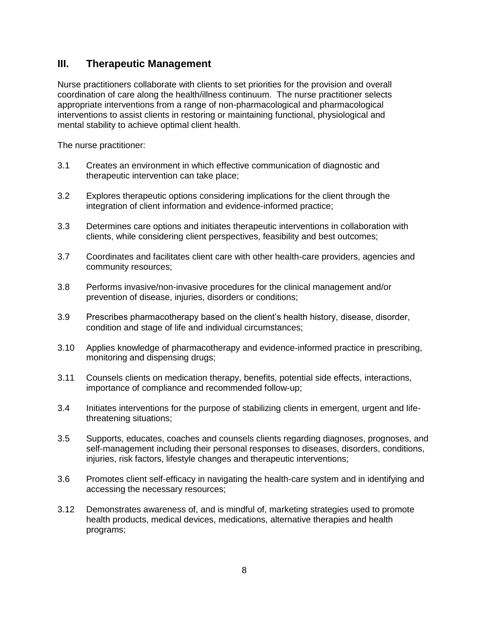#### **III. Therapeutic Management**

Nurse practitioners collaborate with clients to set priorities for the provision and overall coordination of care along the health/illness continuum. The nurse practitioner selects appropriate interventions from a range of non-pharmacological and pharmacological interventions to assist clients in restoring or maintaining functional, physiological and mental stability to achieve optimal client health.

- 3.1 Creates an environment in which effective communication of diagnostic and therapeutic intervention can take place;
- 3.2 Explores therapeutic options considering implications for the client through the integration of client information and evidence-informed practice;
- 3.3 Determines care options and initiates therapeutic interventions in collaboration with clients, while considering client perspectives, feasibility and best outcomes;
- 3.7 Coordinates and facilitates client care with other health-care providers, agencies and community resources;
- 3.8 Performs invasive/non-invasive procedures for the clinical management and/or prevention of disease, injuries, disorders or conditions;
- 3.9 Prescribes pharmacotherapy based on the client's health history, disease, disorder, condition and stage of life and individual circumstances;
- 3.10 Applies knowledge of pharmacotherapy and evidence-informed practice in prescribing, monitoring and dispensing drugs;
- 3.11 Counsels clients on medication therapy, benefits, potential side effects, interactions, importance of compliance and recommended follow-up;
- 3.4 Initiates interventions for the purpose of stabilizing clients in emergent, urgent and lifethreatening situations;
- 3.5 Supports, educates, coaches and counsels clients regarding diagnoses, prognoses, and self-management including their personal responses to diseases, disorders, conditions, injuries, risk factors, lifestyle changes and therapeutic interventions;
- 3.6 Promotes client self-efficacy in navigating the health-care system and in identifying and accessing the necessary resources;
- 3.12 Demonstrates awareness of, and is mindful of, marketing strategies used to promote health products, medical devices, medications, alternative therapies and health programs;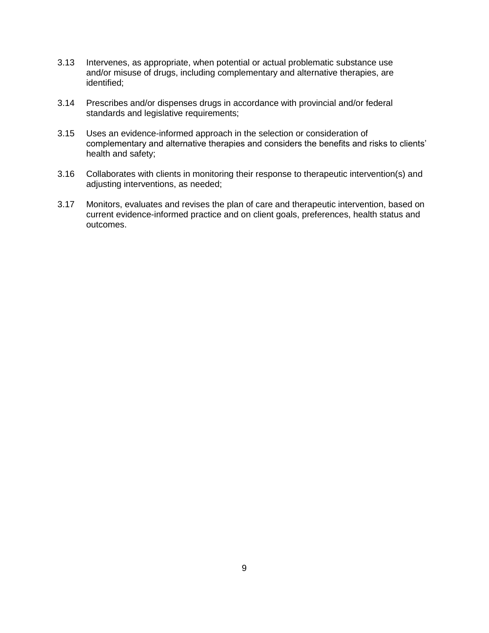- 3.13 Intervenes, as appropriate, when potential or actual problematic substance use and/or misuse of drugs, including complementary and alternative therapies, are identified;
- 3.14 Prescribes and/or dispenses drugs in accordance with provincial and/or federal standards and legislative requirements;
- 3.15 Uses an evidence-informed approach in the selection or consideration of complementary and alternative therapies and considers the benefits and risks to clients' health and safety;
- 3.16 Collaborates with clients in monitoring their response to therapeutic intervention(s) and adjusting interventions, as needed;
- 3.17 Monitors, evaluates and revises the plan of care and therapeutic intervention, based on current evidence-informed practice and on client goals, preferences, health status and outcomes.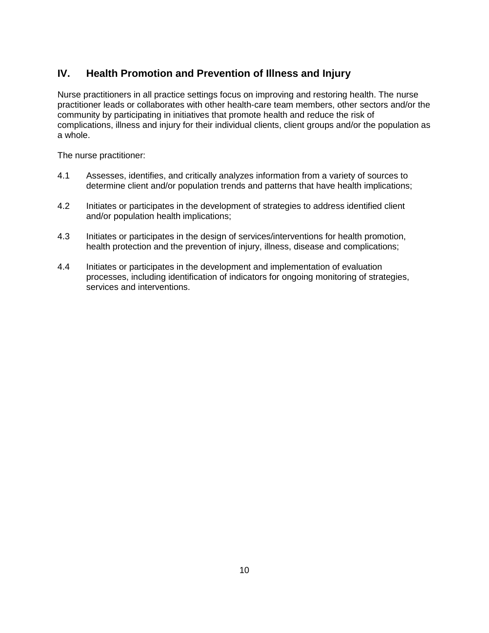# **IV. Health Promotion and Prevention of Illness and Injury**

Nurse practitioners in all practice settings focus on improving and restoring health. The nurse practitioner leads or collaborates with other health-care team members, other sectors and/or the community by participating in initiatives that promote health and reduce the risk of complications, illness and injury for their individual clients, client groups and/or the population as a whole.

- 4.1 Assesses, identifies, and critically analyzes information from a variety of sources to determine client and/or population trends and patterns that have health implications;
- 4.2 Initiates or participates in the development of strategies to address identified client and/or population health implications;
- 4.3 Initiates or participates in the design of services/interventions for health promotion, health protection and the prevention of injury, illness, disease and complications;
- 4.4 Initiates or participates in the development and implementation of evaluation processes, including identification of indicators for ongoing monitoring of strategies, services and interventions.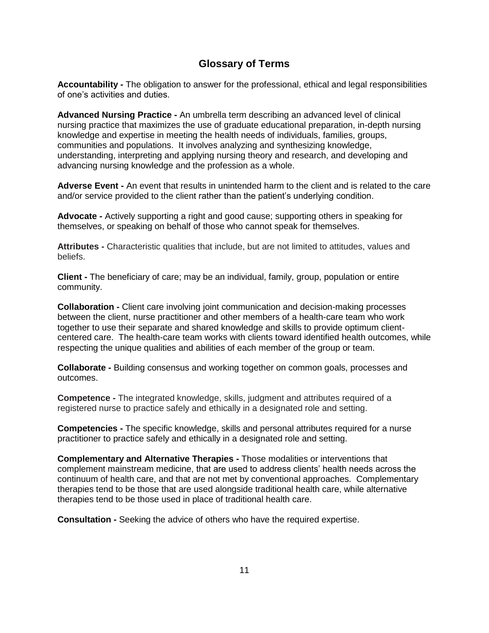#### **Glossary of Terms**

**Accountability -** The obligation to answer for the professional, ethical and legal responsibilities of one's activities and duties.

**Advanced Nursing Practice -** An umbrella term describing an advanced level of clinical nursing practice that maximizes the use of graduate educational preparation, in-depth nursing knowledge and expertise in meeting the health needs of individuals, families, groups, communities and populations. It involves analyzing and synthesizing knowledge, understanding, interpreting and applying nursing theory and research, and developing and advancing nursing knowledge and the profession as a whole.

**Adverse Event -** An event that results in unintended harm to the client and is related to the care and/or service provided to the client rather than the patient's underlying condition.

**Advocate -** Actively supporting a right and good cause; supporting others in speaking for themselves, or speaking on behalf of those who cannot speak for themselves.

**Attributes -** Characteristic qualities that include, but are not limited to attitudes, values and beliefs.

**Client -** The beneficiary of care; may be an individual, family, group, population or entire community.

**Collaboration -** Client care involving joint communication and decision-making processes between the client, nurse practitioner and other members of a health-care team who work together to use their separate and shared knowledge and skills to provide optimum clientcentered care. The health-care team works with clients toward identified health outcomes, while respecting the unique qualities and abilities of each member of the group or team.

**Collaborate -** Building consensus and working together on common goals, processes and outcomes.

**Competence -** The integrated knowledge, skills, judgment and attributes required of a registered nurse to practice safely and ethically in a designated role and setting.

**Competencies -** The specific knowledge, skills and personal attributes required for a nurse practitioner to practice safely and ethically in a designated role and setting.

**Complementary and Alternative Therapies -** Those modalities or interventions that complement mainstream medicine, that are used to address clients' health needs across the continuum of health care, and that are not met by conventional approaches. Complementary therapies tend to be those that are used alongside traditional health care, while alternative therapies tend to be those used in place of traditional health care.

**Consultation -** Seeking the advice of others who have the required expertise.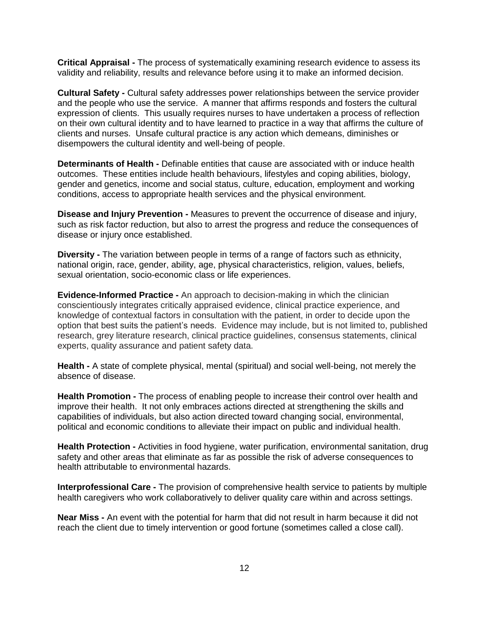**Critical Appraisal -** The process of systematically examining research evidence to assess its validity and reliability, results and relevance before using it to make an informed decision.

**Cultural Safety -** Cultural safety addresses power relationships between the service provider and the people who use the service. A manner that affirms responds and fosters the cultural expression of clients. This usually requires nurses to have undertaken a process of reflection on their own cultural identity and to have learned to practice in a way that affirms the culture of clients and nurses. Unsafe cultural practice is any action which demeans, diminishes or disempowers the cultural identity and well-being of people.

**Determinants of Health -** Definable entities that cause are associated with or induce health outcomes. These entities include health behaviours, lifestyles and coping abilities, biology, gender and genetics, income and social status, culture, education, employment and working conditions, access to appropriate health services and the physical environment.

**Disease and Injury Prevention -** Measures to prevent the occurrence of disease and injury, such as risk factor reduction, but also to arrest the progress and reduce the consequences of disease or injury once established.

**Diversity -** The variation between people in terms of a range of factors such as ethnicity, national origin, race, gender, ability, age, physical characteristics, religion, values, beliefs, sexual orientation, socio-economic class or life experiences.

**Evidence-Informed Practice -** An approach to decision-making in which the clinician conscientiously integrates critically appraised evidence, clinical practice experience, and knowledge of contextual factors in consultation with the patient, in order to decide upon the option that best suits the patient's needs. Evidence may include, but is not limited to, published research, grey literature research, clinical practice guidelines, consensus statements, clinical experts, quality assurance and patient safety data.

**Health -** A state of complete physical, mental (spiritual) and social well-being, not merely the absence of disease.

**Health Promotion -** The process of enabling people to increase their control over health and improve their health. It not only embraces actions directed at strengthening the skills and capabilities of individuals, but also action directed toward changing social, environmental, political and economic conditions to alleviate their impact on public and individual health.

**Health Protection -** Activities in food hygiene, water purification, environmental sanitation, drug safety and other areas that eliminate as far as possible the risk of adverse consequences to health attributable to environmental hazards.

**Interprofessional Care -** The provision of comprehensive health service to patients by multiple health caregivers who work collaboratively to deliver quality care within and across settings.

**Near Miss -** An event with the potential for harm that did not result in harm because it did not reach the client due to timely intervention or good fortune (sometimes called a close call).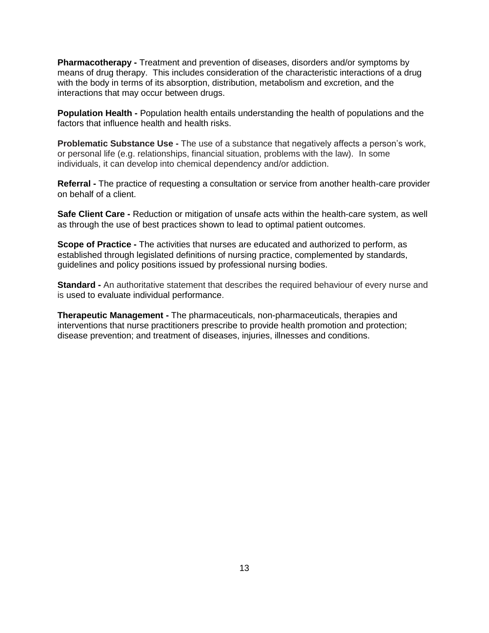**Pharmacotherapy -** Treatment and prevention of diseases, disorders and/or symptoms by means of drug therapy. This includes consideration of the characteristic interactions of a drug with the body in terms of its absorption, distribution, metabolism and excretion, and the interactions that may occur between drugs.

**Population Health -** Population health entails understanding the health of populations and the factors that influence health and health risks.

**Problematic Substance Use -** The use of a substance that negatively affects a person's work, or personal life (e.g. relationships, financial situation, problems with the law). In some individuals, it can develop into chemical dependency and/or addiction.

**Referral -** The practice of requesting a consultation or service from another health-care provider on behalf of a client.

**Safe Client Care -** Reduction or mitigation of unsafe acts within the health-care system, as well as through the use of best practices shown to lead to optimal patient outcomes.

**Scope of Practice -** The activities that nurses are educated and authorized to perform, as established through legislated definitions of nursing practice, complemented by standards, guidelines and policy positions issued by professional nursing bodies.

**Standard -** An authoritative statement that describes the required behaviour of every nurse and is used to evaluate individual performance.

**Therapeutic Management -** The pharmaceuticals, non-pharmaceuticals, therapies and interventions that nurse practitioners prescribe to provide health promotion and protection; disease prevention; and treatment of diseases, injuries, illnesses and conditions.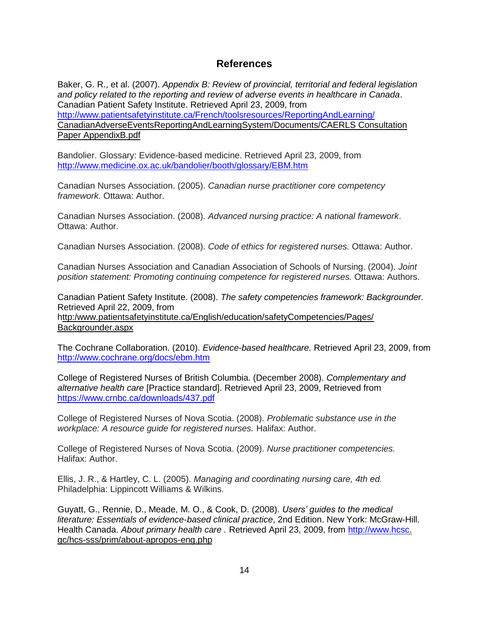#### **References**

Baker, G. R., et al. (2007). *Appendix B: Review of provincial, territorial and federal legislation and policy related to the reporting and review of adverse events in healthcare in Canada*. Canadian Patient Safety Institute. Retrieved April 23, 2009, from <http://www.patientsafetyinstitute.ca/French/toolsresources/ReportingAndLearning/> CanadianAdverseEventsReportingAndLearningSystem/Documents/CAERLS Consultation Paper AppendixB.pdf

Bandolier. Glossary: Evidence-based medicine. Retrieved April 23, 2009, from <http://www.medicine.ox.ac.uk/bandolier/booth/glossary/EBM.htm>

Canadian Nurses Association. (2005). *Canadian nurse practitioner core competency framework.* Ottawa: Author.

Canadian Nurses Association. (2008). *Advanced nursing practice: A national framework*. Ottawa: Author.

Canadian Nurses Association. (2008). *Code of ethics for registered nurses.* Ottawa: Author.

Canadian Nurses Association and Canadian Association of Schools of Nursing. (2004). *Joint position statement: Promoting continuing competence for registered nurses.* Ottawa: Authors.

Canadian Patient Safety Institute. (2008). *The safety competencies framework: Backgrounder.*  Retrieved April 22, 2009, from http:/www.patientsafetyinstitute.ca/English/education/safetyCompetencies/Pages/ Backgrounder.aspx

The Cochrane Collaboration. (2010). *Evidence-based healthcare.* Retrieved April 23, 2009, from <http://www.cochrane.org/docs/ebm.htm>

College of Registered Nurses of British Columbia. (December 2008). *Complementary and alternative health care* [Practice standard]. Retrieved April 23, 2009, Retrieved from <https://www.crnbc.ca/downloads/437.pdf>

College of Registered Nurses of Nova Scotia. (2008). *Problematic substance use in the workplace: A resource guide for registered nurses.* Halifax: Author.

College of Registered Nurses of Nova Scotia. (2009). *Nurse practitioner competencies.* Halifax: Author.

Ellis, J. R., & Hartley, C. L. (2005). *Managing and coordinating nursing care, 4th ed.* Philadelphia: Lippincott Williams & Wilkins.

Guyatt, G., Rennie, D., Meade, M. O., & Cook, D. (2008). *Users' guides to the medical literature: Essentials of evidence-based clinical practice*, 2nd Edition. New York: McGraw-Hill. Health Canada. *About primary health care .* Retrieved April 23, 2009, from [http://www.hcsc.](http://www.hcsc/) gc/hcs-sss/prim/about-apropos-eng.php